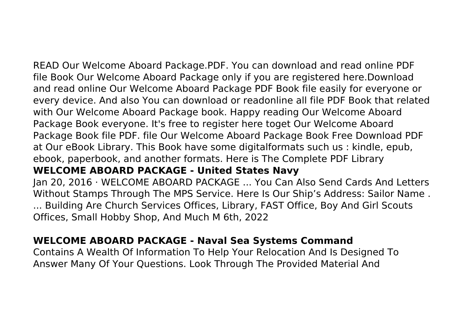READ Our Welcome Aboard Package.PDF. You can download and read online PDF file Book Our Welcome Aboard Package only if you are registered here.Download and read online Our Welcome Aboard Package PDF Book file easily for everyone or every device. And also You can download or readonline all file PDF Book that related with Our Welcome Aboard Package book. Happy reading Our Welcome Aboard Package Book everyone. It's free to register here toget Our Welcome Aboard Package Book file PDF. file Our Welcome Aboard Package Book Free Download PDF at Our eBook Library. This Book have some digitalformats such us : kindle, epub, ebook, paperbook, and another formats. Here is The Complete PDF Library **WELCOME ABOARD PACKAGE - United States Navy**

Jan 20, 2016 · WELCOME ABOARD PACKAGE ... You Can Also Send Cards And Letters Without Stamps Through The MPS Service. Here Is Our Ship's Address: Sailor Name . ... Building Are Church Services Offices, Library, FAST Office, Boy And Girl Scouts Offices, Small Hobby Shop, And Much M 6th, 2022

# **WELCOME ABOARD PACKAGE - Naval Sea Systems Command**

Contains A Wealth Of Information To Help Your Relocation And Is Designed To Answer Many Of Your Questions. Look Through The Provided Material And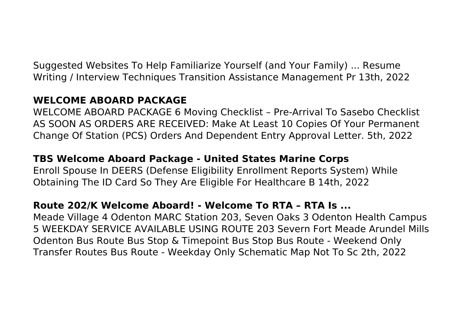Suggested Websites To Help Familiarize Yourself (and Your Family) ... Resume Writing / Interview Techniques Transition Assistance Management Pr 13th, 2022

### **WELCOME ABOARD PACKAGE**

WELCOME ABOARD PACKAGE 6 Moving Checklist – Pre-Arrival To Sasebo Checklist AS SOON AS ORDERS ARE RECEIVED: Make At Least 10 Copies Of Your Permanent Change Of Station (PCS) Orders And Dependent Entry Approval Letter. 5th, 2022

### **TBS Welcome Aboard Package - United States Marine Corps**

Enroll Spouse In DEERS (Defense Eligibility Enrollment Reports System) While Obtaining The ID Card So They Are Eligible For Healthcare B 14th, 2022

#### **Route 202/K Welcome Aboard! - Welcome To RTA – RTA Is ...**

Meade Village 4 Odenton MARC Station 203, Seven Oaks 3 Odenton Health Campus 5 WEEKDAY SERVICE AVAILABLE USING ROUTE 203 Severn Fort Meade Arundel Mills Odenton Bus Route Bus Stop & Timepoint Bus Stop Bus Route - Weekend Only Transfer Routes Bus Route - Weekday Only Schematic Map Not To Sc 2th, 2022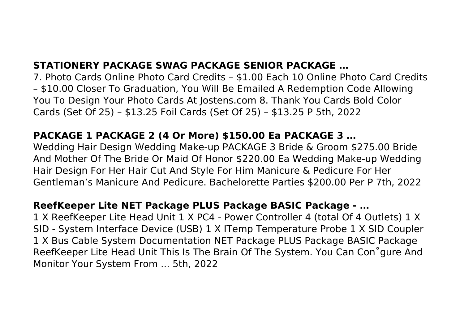# **STATIONERY PACKAGE SWAG PACKAGE SENIOR PACKAGE …**

7. Photo Cards Online Photo Card Credits – \$1.00 Each 10 Online Photo Card Credits – \$10.00 Closer To Graduation, You Will Be Emailed A Redemption Code Allowing You To Design Your Photo Cards At Jostens.com 8. Thank You Cards Bold Color Cards (Set Of 25) – \$13.25 Foil Cards (Set Of 25) – \$13.25 P 5th, 2022

## **PACKAGE 1 PACKAGE 2 (4 Or More) \$150.00 Ea PACKAGE 3 …**

Wedding Hair Design Wedding Make-up PACKAGE 3 Bride & Groom \$275.00 Bride And Mother Of The Bride Or Maid Of Honor \$220.00 Ea Wedding Make-up Wedding Hair Design For Her Hair Cut And Style For Him Manicure & Pedicure For Her Gentleman's Manicure And Pedicure. Bachelorette Parties \$200.00 Per P 7th, 2022

#### **ReefKeeper Lite NET Package PLUS Package BASIC Package - …**

1 X ReefKeeper Lite Head Unit 1 X PC4 - Power Controller 4 (total Of 4 Outlets) 1 X SID - System Interface Device (USB) 1 X ITemp Temperature Probe 1 X SID Coupler 1 X Bus Cable System Documentation NET Package PLUS Package BASIC Package ReefKeeper Lite Head Unit This Is The Brain Of The System. You Can Con˚gure And Monitor Your System From ... 5th, 2022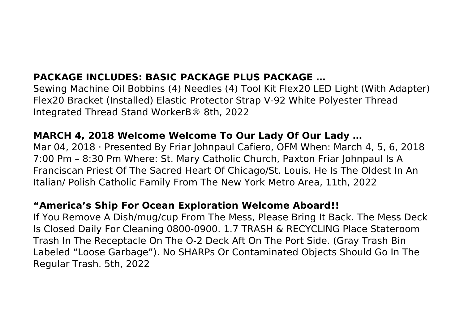# **PACKAGE INCLUDES: BASIC PACKAGE PLUS PACKAGE …**

Sewing Machine Oil Bobbins (4) Needles (4) Tool Kit Flex20 LED Light (With Adapter) Flex20 Bracket (Installed) Elastic Protector Strap V-92 White Polyester Thread Integrated Thread Stand WorkerB® 8th, 2022

## **MARCH 4, 2018 Welcome Welcome To Our Lady Of Our Lady …**

Mar 04, 2018 · Presented By Friar Johnpaul Cafiero, OFM When: March 4, 5, 6, 2018 7:00 Pm – 8:30 Pm Where: St. Mary Catholic Church, Paxton Friar Johnpaul Is A Franciscan Priest Of The Sacred Heart Of Chicago/St. Louis. He Is The Oldest In An Italian/ Polish Catholic Family From The New York Metro Area, 11th, 2022

### **"America's Ship For Ocean Exploration Welcome Aboard!!**

If You Remove A Dish/mug/cup From The Mess, Please Bring It Back. The Mess Deck Is Closed Daily For Cleaning 0800-0900. 1.7 TRASH & RECYCLING Place Stateroom Trash In The Receptacle On The O-2 Deck Aft On The Port Side. (Gray Trash Bin Labeled "Loose Garbage"). No SHARPs Or Contaminated Objects Should Go In The Regular Trash. 5th, 2022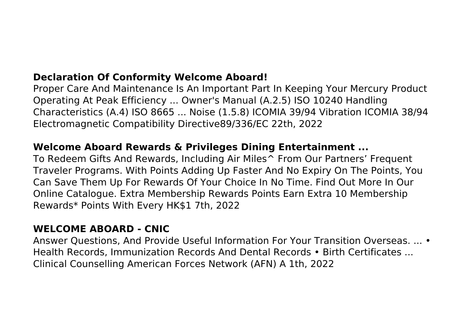## **Declaration Of Conformity Welcome Aboard!**

Proper Care And Maintenance Is An Important Part In Keeping Your Mercury Product Operating At Peak Efficiency ... Owner's Manual (A.2.5) ISO 10240 Handling Characteristics (A.4) ISO 8665 ... Noise (1.5.8) ICOMIA 39/94 Vibration ICOMIA 38/94 Electromagnetic Compatibility Directive89/336/EC 22th, 2022

### **Welcome Aboard Rewards & Privileges Dining Entertainment ...**

To Redeem Gifts And Rewards, Including Air Miles^ From Our Partners' Frequent Traveler Programs. With Points Adding Up Faster And No Expiry On The Points, You Can Save Them Up For Rewards Of Your Choice In No Time. Find Out More In Our Online Catalogue. Extra Membership Rewards Points Earn Extra 10 Membership Rewards\* Points With Every HK\$1 7th, 2022

#### **WELCOME ABOARD - CNIC**

Answer Questions, And Provide Useful Information For Your Transition Overseas. ... • Health Records, Immunization Records And Dental Records • Birth Certificates ... Clinical Counselling American Forces Network (AFN) A 1th, 2022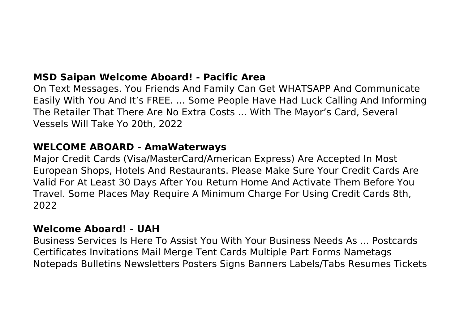## **MSD Saipan Welcome Aboard! - Pacific Area**

On Text Messages. You Friends And Family Can Get WHATSAPP And Communicate Easily With You And It's FREE. ... Some People Have Had Luck Calling And Informing The Retailer That There Are No Extra Costs ... With The Mayor's Card, Several Vessels Will Take Yo 20th, 2022

#### **WELCOME ABOARD - AmaWaterways**

Major Credit Cards (Visa/MasterCard/American Express) Are Accepted In Most European Shops, Hotels And Restaurants. Please Make Sure Your Credit Cards Are Valid For At Least 30 Days After You Return Home And Activate Them Before You Travel. Some Places May Require A Minimum Charge For Using Credit Cards 8th, 2022

#### **Welcome Aboard! - UAH**

Business Services Is Here To Assist You With Your Business Needs As ... Postcards Certificates Invitations Mail Merge Tent Cards Multiple Part Forms Nametags Notepads Bulletins Newsletters Posters Signs Banners Labels/Tabs Resumes Tickets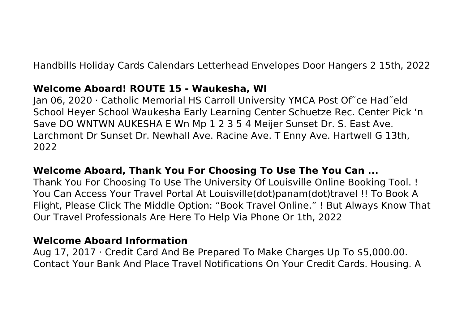Handbills Holiday Cards Calendars Letterhead Envelopes Door Hangers 2 15th, 2022

#### **Welcome Aboard! ROUTE 15 - Waukesha, WI**

Jan 06, 2020 · Catholic Memorial HS Carroll University YMCA Post Of˜ce Had˜eld School Heyer School Waukesha Early Learning Center Schuetze Rec. Center Pick 'n Save DO WNTWN AUKESHA E Wn Mp 1 2 3 5 4 Meijer Sunset Dr. S. East Ave. Larchmont Dr Sunset Dr. Newhall Ave. Racine Ave. T Enny Ave. Hartwell G 13th, 2022

### **Welcome Aboard, Thank You For Choosing To Use The You Can ...**

Thank You For Choosing To Use The University Of Louisville Online Booking Tool. ! You Can Access Your Travel Portal At Louisville(dot)panam(dot)travel !! To Book A Flight, Please Click The Middle Option: "Book Travel Online." ! But Always Know That Our Travel Professionals Are Here To Help Via Phone Or 1th, 2022

#### **Welcome Aboard Information**

Aug 17, 2017 · Credit Card And Be Prepared To Make Charges Up To \$5,000.00. Contact Your Bank And Place Travel Notifications On Your Credit Cards. Housing. A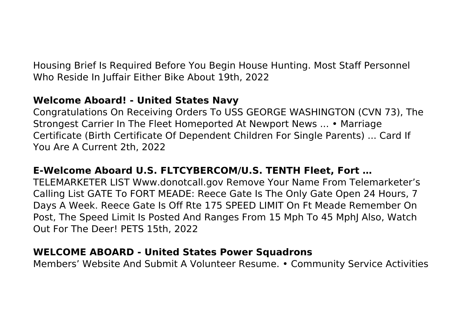Housing Brief Is Required Before You Begin House Hunting. Most Staff Personnel Who Reside In Juffair Either Bike About 19th, 2022

## **Welcome Aboard! - United States Navy**

Congratulations On Receiving Orders To USS GEORGE WASHINGTON (CVN 73), The Strongest Carrier In The Fleet Homeported At Newport News ... • Marriage Certificate (Birth Certificate Of Dependent Children For Single Parents) ... Card If You Are A Current 2th, 2022

# **E-Welcome Aboard U.S. FLTCYBERCOM/U.S. TENTH Fleet, Fort …**

TELEMARKETER LIST Www.donotcall.gov Remove Your Name From Telemarketer's Calling List GATE To FORT MEADE: Reece Gate Is The Only Gate Open 24 Hours, 7 Days A Week. Reece Gate Is Off Rte 175 SPEED LIMIT On Ft Meade Remember On Post, The Speed Limit Is Posted And Ranges From 15 Mph To 45 MphJ Also, Watch Out For The Deer! PETS 15th, 2022

### **WELCOME ABOARD - United States Power Squadrons**

Members' Website And Submit A Volunteer Resume. • Community Service Activities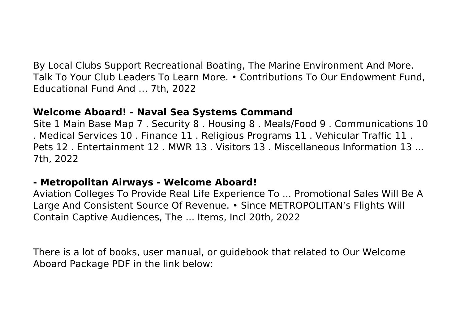By Local Clubs Support Recreational Boating, The Marine Environment And More. Talk To Your Club Leaders To Learn More. • Contributions To Our Endowment Fund, Educational Fund And … 7th, 2022

#### **Welcome Aboard! - Naval Sea Systems Command**

Site 1 Main Base Map 7 . Security 8 . Housing 8 . Meals/Food 9 . Communications 10 . Medical Services 10 . Finance 11 . Religious Programs 11 . Vehicular Traffic 11 . Pets 12 . Entertainment 12 . MWR 13 . Visitors 13 . Miscellaneous Information 13 ... 7th, 2022

### **- Metropolitan Airways - Welcome Aboard!**

Aviation Colleges To Provide Real Life Experience To ... Promotional Sales Will Be A Large And Consistent Source Of Revenue. • Since METROPOLITAN's Flights Will Contain Captive Audiences, The ... Items, Incl 20th, 2022

There is a lot of books, user manual, or guidebook that related to Our Welcome Aboard Package PDF in the link below: